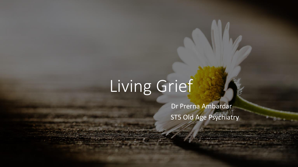Dr Prerna Ambardar ST5 Old Age Psychiatry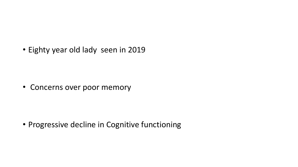• Eighty year old lady seen in 2019

• Concerns over poor memory

• Progressive decline in Cognitive functioning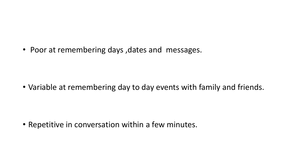• Poor at remembering days ,dates and messages.

• Variable at remembering day to day events with family and friends.

• Repetitive in conversation within a few minutes.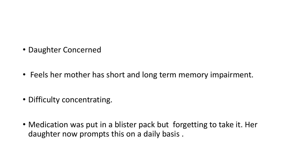- Daughter Concerned
- Feels her mother has short and long term memory impairment.
- Difficulty concentrating.
- Medication was put in a blister pack but forgetting to take it. Her daughter now prompts this on a daily basis .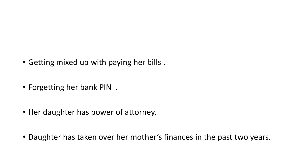- Getting mixed up with paying her bills .
- Forgetting her bank PIN .
- Her daughter has power of attorney.
- Daughter has taken over her mother's finances in the past two years.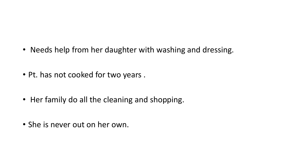- Needs help from her daughter with washing and dressing.
- Pt. has not cooked for two years .
- Her family do all the cleaning and shopping.
- She is never out on her own.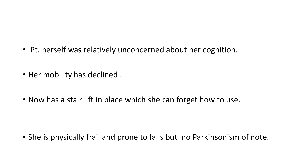- Pt. herself was relatively unconcerned about her cognition.
- Her mobility has declined .
- Now has a stair lift in place which she can forget how to use.

• She is physically frail and prone to falls but no Parkinsonism of note.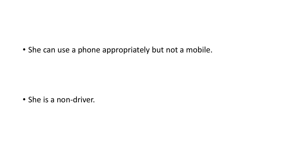• She can use a phone appropriately but not a mobile.

• She is a non-driver.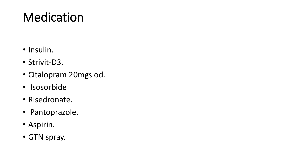# Medication

- Insulin.
- Strivit-D3.
- Citalopram 20mgs od.
- Isosorbide
- Risedronate.
- Pantoprazole.
- Aspirin.
- GTN spray.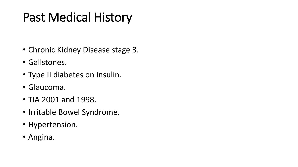# Past Medical History

- Chronic Kidney Disease stage 3.
- Gallstones.
- Type II diabetes on insulin.
- Glaucoma.
- TIA 2001 and 1998.
- Irritable Bowel Syndrome.
- Hypertension.
- Angina.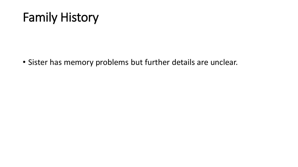#### Family History

• Sister has memory problems but further details are unclear.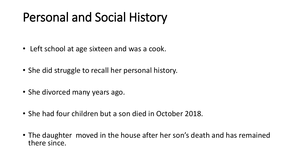# Personal and Social History

- Left school at age sixteen and was a cook.
- She did struggle to recall her personal history.
- She divorced many years ago.
- She had four children but a son died in October 2018.
- The daughter moved in the house after her son's death and has remained there since.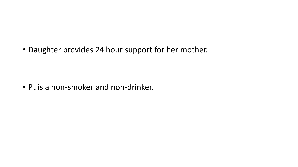• Daughter provides 24 hour support for her mother.

• Pt is a non-smoker and non-drinker.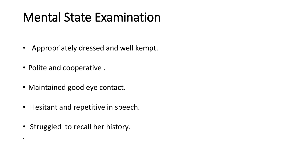#### Mental State Examination

- Appropriately dressed and well kempt.
- Polite and cooperative .

.

- Maintained good eye contact.
- Hesitant and repetitive in speech.
- Struggled to recall her history.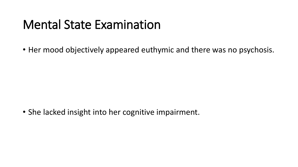#### Mental State Examination

• Her mood objectively appeared euthymic and there was no psychosis.

• She lacked insight into her cognitive impairment.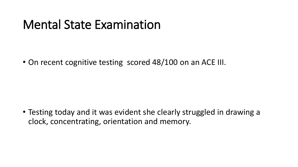#### Mental State Examination

• On recent cognitive testing scored 48/100 on an ACE III.

• Testing today and it was evident she clearly struggled in drawing a clock, concentrating, orientation and memory.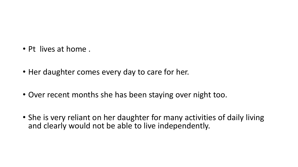- Pt lives at home .
- Her daughter comes every day to care for her.
- Over recent months she has been staying over night too.
- She is very reliant on her daughter for many activities of daily living and clearly would not be able to live independently.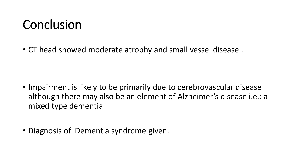#### Conclusion

• CT head showed moderate atrophy and small vessel disease .

- Impairment is likely to be primarily due to cerebrovascular disease although there may also be an element of Alzheimer's disease i.e.: a mixed type dementia.
- Diagnosis of Dementia syndrome given.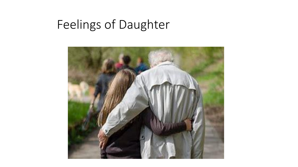# Feelings of Daughter

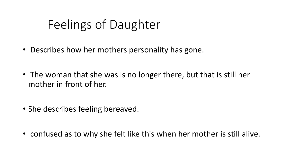# Feelings of Daughter

- Describes how her mothers personality has gone.
- The woman that she was is no longer there, but that is still her mother in front of her.
- She describes feeling bereaved.
- confused as to why she felt like this when her mother is still alive.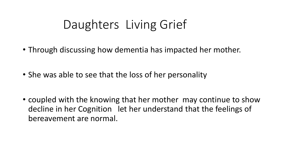#### Daughters Living Grief

- Through discussing how dementia has impacted her mother.
- She was able to see that the loss of her personality
- coupled with the knowing that her mother may continue to show decline in her Cognition let her understand that the feelings of bereavement are normal.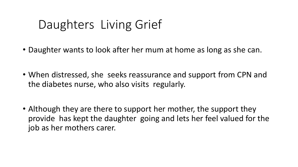#### Daughters Living Grief

- Daughter wants to look after her mum at home as long as she can.
- When distressed, she seeks reassurance and support from CPN and the diabetes nurse, who also visits regularly.
- Although they are there to support her mother, the support they provide has kept the daughter going and lets her feel valued for the job as her mothers carer.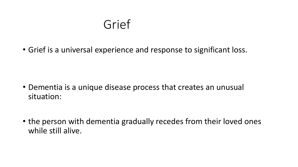#### Grief

• Grief is a universal experience and response to significant loss.

- Dementia is a unique disease process that creates an unusual situation:
- the person with dementia gradually recedes from their loved ones while still alive.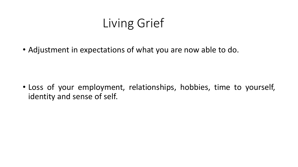• Adjustment in expectations of what you are now able to do.

• Loss of your employment, relationships, hobbies, time to yourself, identity and sense of self.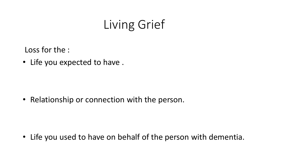Loss for the :

• Life you expected to have .

• Relationship or connection with the person.

• Life you used to have on behalf of the person with dementia.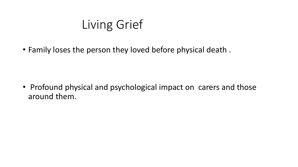• Family loses the person they loved before physical death .

• Profound physical and psychological impact on carers and those around them.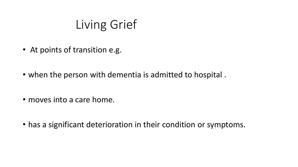- At points of transition e.g.
- when the person with dementia is admitted to hospital .
- moves into a care home.
- has a significant deterioration in their condition or symptoms.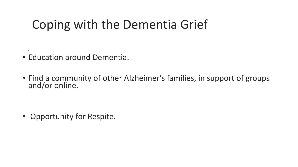#### Coping with the Dementia Grief

• Education around Dementia.

• E

• Find a community of other Alzheimer's families, in support of groups and/or online.

• Opportunity for Respite.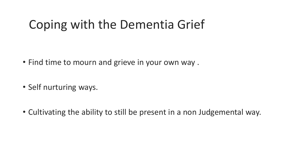#### Coping with the Dementia Grief

- Find time to mourn and grieve in your own way .
- Self nurturing ways.
- Cultivating the ability to still be present in a non Judgemental way.